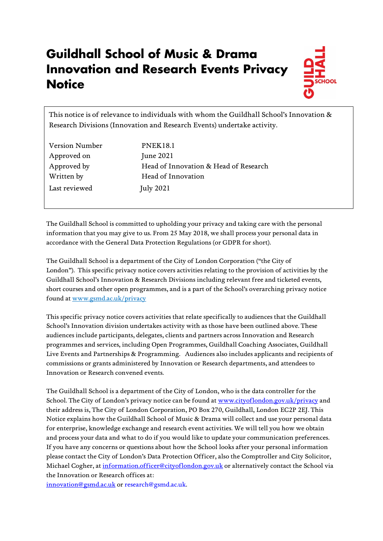# **Guildhall School of Music & Drama Innovation and Research Events Privacy Notice**



This notice is of relevance to individuals with whom the Guildhall School's Innovation & Research Divisions (Innovation and Research Events) undertake activity.

| <b>Version Number</b> | <b>PNEK18.1</b>                       |
|-----------------------|---------------------------------------|
| Approved on           | June 2021                             |
| Approved by           | Head of Innovation & Head of Research |
| Written by            | Head of Innovation                    |
| Last reviewed         | <b>July 2021</b>                      |

The Guildhall School is committed to upholding your privacy and taking care with the personal information that you may give to us. From 25 May 2018, we shall process your personal data in accordance with the General Data Protection Regulations (or GDPR for short).

The Guildhall School is a department of the City of London Corporation ("the City of London"). This specific privacy notice covers activities relating to the provision of activities by the Guildhall School's Innovation & Research Divisions including relevant free and ticketed events, short courses and other open programmes, and is a part of the School's overarching privacy notice found at [www.gsmd.ac.uk/privacy](http://www.gsmd.ac.uk/privacy) 

This specific privacy notice covers activities that relate specifically to audiences that the Guildhall School's Innovation division undertakes activity with as those have been outlined above. These audiences include participants, delegates, clients and partners across Innovation and Research programmes and services, including Open Programmes, Guildhall Coaching Associates, Guildhall Live Events and Partnerships & Programming. Audiences also includes applicants and recipients of commissions or grants administered by Innovation or Research departments, and attendees to Innovation or Research convened events.

The Guildhall School is a department of the City of London, who is the data controller for the School. The City of London's privacy notice can be found at [www.cityoflondon.gov.uk/privacy](http://www.cityoflondon.gov.uk/privacy) and their address is, The City of London Corporation, PO Box 270, Guildhall, London EC2P 2EJ. This Notice explains how the Guildhall School of Music & Drama will collect and use your personal data for enterprise, knowledge exchange and research event activities. We will tell you how we obtain and process your data and what to do if you would like to update your communication preferences. If you have any concerns or questions about how the School looks after your personal information please contact the City of London's Data Protection Officer, also the Comptroller and City Solicitor, Michael Cogher, a[t information.officer@cityoflondon.gov.uk](mailto:information.officer@cityoflondon.gov.uk) or alternatively contact the School via the Innovation or Research offices at:

[innovation@gsmd.ac.uk](mailto:innovation@gsmd.ac.uk) or [research@gsmd.ac.uk.](mailto:research@gsmd.ac.uk)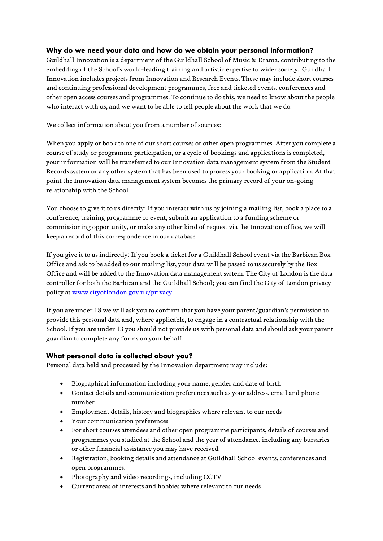## **Why do we need your data and how do we obtain your personal information?**

Guildhall Innovation is a department of the Guildhall School of Music & Drama, contributing to the embedding of the School's world-leading training and artistic expertise to wider society. Guildhall Innovation includes projects from Innovation and Research Events. These may include short courses and continuing professional development programmes, free and ticketed events, conferences and other open access courses and programmes. To continue to do this, we need to know about the people who interact with us, and we want to be able to tell people about the work that we do.

We collect information about you from a number of sources:

When you apply or book to one of our short courses or other open programmes. After you complete a course of study or programme participation, or a cycle of bookings and applications is completed, your information will be transferred to our Innovation data management system from the Student Records system or any other system that has been used to process your booking or application. At that point the Innovation data management system becomes the primary record of your on-going relationship with the School.

You choose to give it to us directly: If you interact with us by joining a mailing list, book a place to a conference, training programme or event, submit an application to a funding scheme or commissioning opportunity, or make any other kind of request via the Innovation office, we will keep a record of this correspondence in our database.

If you give it to us indirectly: If you book a ticket for a Guildhall School event via the Barbican Box Office and ask to be added to our mailing list, your data will be passed to us securely by the Box Office and will be added to the Innovation data management system. The City of London is the data controller for both the Barbican and the Guildhall School; you can find the City of London privacy policy at [www.cityoflondon.gov.uk/privacy](http://www.cityoflondon.gov.uk/privacy)

If you are under 18 we will ask you to confirm that you have your parent/guardian's permission to provide this personal data and, where applicable, to engage in a contractual relationship with the School. If you are under 13 you should not provide us with personal data and should ask your parent guardian to complete any forms on your behalf.

## **What personal data is collected about you?**

Personal data held and processed by the Innovation department may include:

- Biographical information including your name, gender and date of birth
- Contact details and communication preferences such as your address, email and phone number
- Employment details, history and biographies where relevant to our needs
- Your communication preferences
- For short courses attendees and other open programme participants, details of courses and programmes you studied at the School and the year of attendance, including any bursaries or other financial assistance you may have received.
- Registration, booking details and attendance at Guildhall School events, conferences and open programmes.
- Photography and video recordings, including CCTV
- Current areas of interests and hobbies where relevant to our needs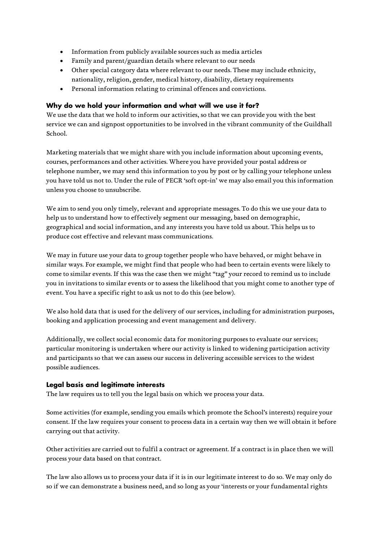- Information from publicly available sources such as media articles
- Family and parent/guardian details where relevant to our needs
- Other special category data where relevant to our needs. These may include ethnicity, nationality, religion, gender, medical history, disability, dietary requirements
- Personal information relating to criminal offences and convictions.

### **Why do we hold your information and what will we use it for?**

We use the data that we hold to inform our activities, so that we can provide you with the best service we can and signpost opportunities to be involved in the vibrant community of the Guildhall School.

Marketing materials that we might share with you include information about upcoming events, courses, performances and other activities. Where you have provided your postal address or telephone number, we may send this information to you by post or by calling your telephone unless you have told us not to. Under the rule of PECR 'soft opt-in' we may also email you this information unless you choose to unsubscribe.

We aim to send you only timely, relevant and appropriate messages. To do this we use your data to help us to understand how to effectively segment our messaging, based on demographic, geographical and social information, and any interests you have told us about. This helps us to produce cost effective and relevant mass communications.

We may in future use your data to group together people who have behaved, or might behave in similar ways. For example, we might find that people who had been to certain events were likely to come to similar events. If this was the case then we might "tag" your record to remind us to include you in invitations to similar events or to assess the likelihood that you might come to another type of event. You have a specific right to ask us not to do this (see below).

We also hold data that is used for the delivery of our services, including for administration purposes, booking and application processing and event management and delivery.

Additionally, we collect social economic data for monitoring purposes to evaluate our services; particular monitoring is undertaken where our activity is linked to widening participation activity and participants so that we can assess our success in delivering accessible services to the widest possible audiences.

#### **Legal basis and legitimate interests**

The law requires us to tell you the legal basis on which we process your data.

Some activities (for example, sending you emails which promote the School's interests) require your consent. If the law requires your consent to process data in a certain way then we will obtain it before carrying out that activity.

Other activities are carried out to fulfil a contract or agreement. If a contract is in place then we will process your data based on that contract.

The law also allows us to process your data if it is in our legitimate interest to do so. We may only do so if we can demonstrate a business need, and so long as your 'interests or your fundamental rights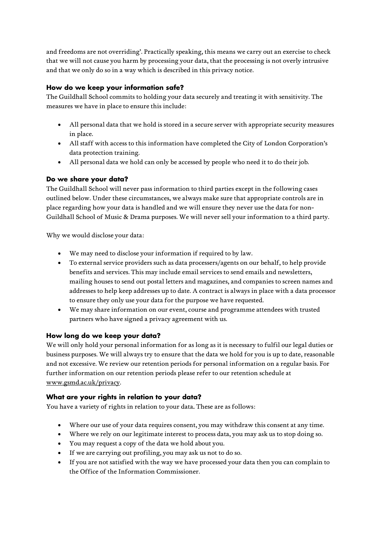and freedoms are not overriding'. Practically speaking, this means we carry out an exercise to check that we will not cause you harm by processing your data, that the processing is not overly intrusive and that we only do so in a way which is described in this privacy notice.

## **How do we keep your information safe?**

The Guildhall School commits to holding your data securely and treating it with sensitivity. The measures we have in place to ensure this include:

- All personal data that we hold is stored in a secure server with appropriate security measures in place.
- All staff with access to this information have completed the City of London Corporation's data protection training.
- All personal data we hold can only be accessed by people who need it to do their job.

## **Do we share your data?**

The Guildhall School will never pass information to third parties except in the following cases outlined below. Under these circumstances, we always make sure that appropriate controls are in place regarding how your data is handled and we will ensure they never use the data for non-Guildhall School of Music & Drama purposes. We will never sell your information to a third party.

Why we would disclose your data:

- We may need to disclose your information if required to by law.
- To external service providers such as data processers/agents on our behalf, to help provide benefits and services. This may include email services to send emails and newsletters, mailing houses to send out postal letters and magazines, and companies to screen names and addresses to help keep addresses up to date. A contract is always in place with a data processor to ensure they only use your data for the purpose we have requested.
- We may share information on our event, course and programme attendees with trusted partners who have signed a privacy agreement with us.

## **How long do we keep your data?**

We will only hold your personal information for as long as it is necessary to fulfil our legal duties or business purposes. We will always try to ensure that the data we hold for you is up to date, reasonable and not excessive. We review our retention periods for personal information on a regular basis. For further information on our retention periods please refer to our retention schedule at [www.gsmd.ac.uk/privacy.](http://www.gsmd.ac.uk/privacy)

## **What are your rights in relation to your data?**

You have a variety of rights in relation to your data. These are as follows:

- Where our use of your data requires consent, you may withdraw this consent at any time.
- Where we rely on our legitimate interest to process data, you may ask us to stop doing so.
- You may request a copy of the data we hold about you.
- If we are carrying out profiling, you may ask us not to do so.
- If you are not satisfied with the way we have processed your data then you can complain to the Office of the Information Commissioner.